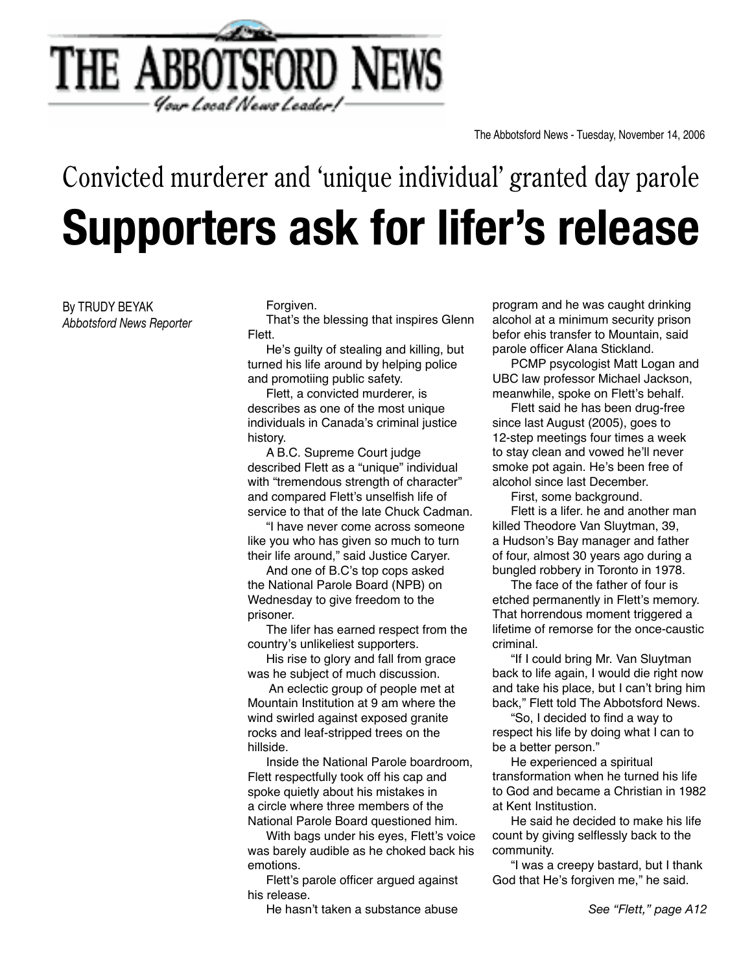

## **Supporters ask for lifer's release** Convicted murderer and 'unique individual' granted day parole

By TRUDY BEYAK *Abbotsford News Reporter*  Forgiven.

 That's the blessing that inspires Glenn Flett.

 He's guilty of stealing and killing, but turned his life around by helping police and promotiing public safety.

 Flett, a convicted murderer, is describes as one of the most unique individuals in Canada's criminal justice history.

 A B.C. Supreme Court judge described Flett as a "unique" individual with "tremendous strength of character" and compared Flett's unselfish life of service to that of the late Chuck Cadman.

 "I have never come across someone like you who has given so much to turn their life around," said Justice Caryer.

 And one of B.C's top cops asked the National Parole Board (NPB) on Wednesday to give freedom to the prisoner.

 The lifer has earned respect from the country's unlikeliest supporters.

 His rise to glory and fall from grace was he subject of much discussion.

An eclectic group of people met at Mountain Institution at 9 am where the wind swirled against exposed granite rocks and leaf-stripped trees on the hillside.

 Inside the National Parole boardroom, Flett respectfully took off his cap and spoke quietly about his mistakes in a circle where three members of the National Parole Board questioned him.

 With bags under his eyes, Flett's voice was barely audible as he choked back his emotions.

Flett's parole officer argued against his release.

 He hasn't taken a substance abuse

program and he was caught drinking alcohol at a minimum security prison befor ehis transfer to Mountain, said parole officer Alana Stickland.

 PCMP psycologist Matt Logan and UBC law professor Michael Jackson, meanwhile, spoke on Flett's behalf.

 Flett said he has been drug-free since last August (2005), goes to 12-step meetings four times a week to stay clean and vowed he'll never smoke pot again. He's been free of alcohol since last December.

 First, some background.

 Flett is a lifer. he and another man killed Theodore Van Sluytman, 39, a Hudson's Bay manager and father of four, almost 30 years ago during a bungled robbery in Toronto in 1978.

 The face of the father of four is etched permanently in Flett's memory. That horrendous moment triggered a lifetime of remorse for the once-caustic criminal.

 "If I could bring Mr. Van Sluytman back to life again, I would die right now and take his place, but I can't bring him back," Flett told The Abbotsford News.

"So, I decided to find a way to respect his life by doing what I can to be a better person."

 He experienced a spiritual transformation when he turned his life to God and became a Christian in 1982 at Kent Institustion.

 He said he decided to make his life count by giving selflessly back to the community.

 "I was a creepy bastard, but I thank God that He's forgiven me," he said.